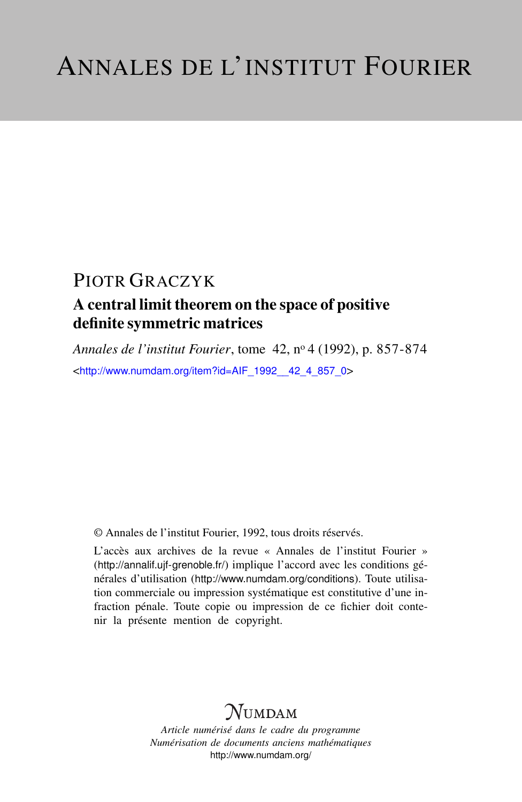# A central limit theorem on the space of positive definite symmetric matrices

*Annales de l'institut Fourier*, tome 42, n<sup>o</sup> 4 (1992), p. 857-874 <[http://www.numdam.org/item?id=AIF\\_1992\\_\\_42\\_4\\_857\\_0](http://www.numdam.org/item?id=AIF_1992__42_4_857_0)>

© Annales de l'institut Fourier, 1992, tous droits réservés.

L'accès aux archives de la revue « Annales de l'institut Fourier » (<http://annalif.ujf-grenoble.fr/>) implique l'accord avec les conditions générales d'utilisation (<http://www.numdam.org/conditions>). Toute utilisation commerciale ou impression systématique est constitutive d'une infraction pénale. Toute copie ou impression de ce fichier doit contenir la présente mention de copyright.

# NUMDAM

*Article numérisé dans le cadre du programme Numérisation de documents anciens mathématiques* <http://www.numdam.org/>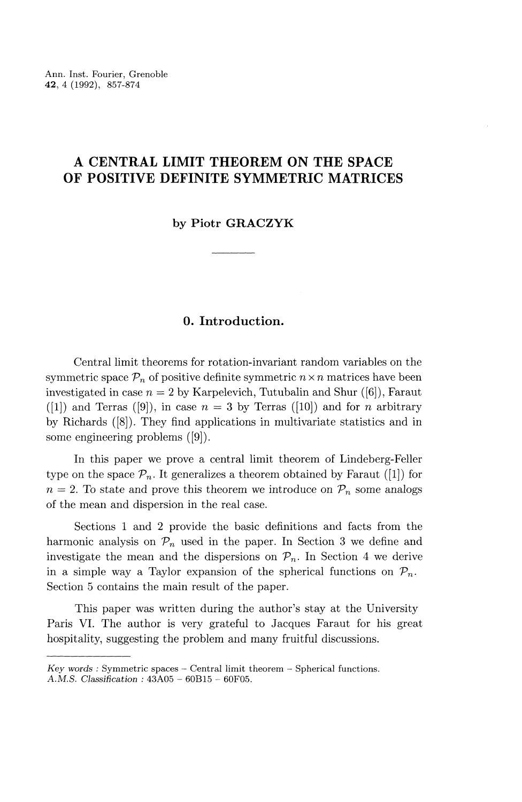Ann. Inst. Fourier, Grenoble **42,** 4 (1992), 857-874

# **A CENTRAL LIMIT THEOREM ON THE SPACE OF POSITIVE DEFINITE SYMMETRIC MATRICES**

#### **by Piotr GRACZYK**

# **0. Introduction.**

Central limit theorems for rotation-invariant random variables on the symmetric space  $\mathcal{P}_n$  of positive definite symmetric  $n \times n$  matrices have been investigated in case  $n = 2$  by Karpelevich, Tutubalin and Shur ([6]), Faraut ([1]) and Terras ([9]), in case  $n = 3$  by Terras ([10]) and for *n* arbitrary by Richards ([8]). They find applications in multivariate statistics and in some engineering problems ([9]).

In this paper we prove a central limit theorem of Lindeberg-Feller type on the space  $\mathcal{P}_n$ . It generalizes a theorem obtained by Faraut ([1]) for  $n = 2$ . To state and prove this theorem we introduce on  $P_n$  some analogs of the mean and dispersion in the real case.

Sections 1 and 2 provide the basic definitions and facts from the harmonic analysis on  $\mathcal{P}_n$  used in the paper. In Section 3 we define and investigate the mean and the dispersions on  $\mathcal{P}_n$ . In Section 4 we derive in a simple way a Taylor expansion of the spherical functions on  $\mathcal{P}_n$ . Section 5 contains the main result of the paper.

This paper was written during the author's stay at the University Paris VI. The author is very grateful to Jacques Faraut for his great hospitality, suggesting the problem and many fruitful discussions.

*Key words :* Symmetric spaces - Central limit theorem - Spherical functions. A. M.S. *Classification :* 43A05 - GOB 15 - 60F05.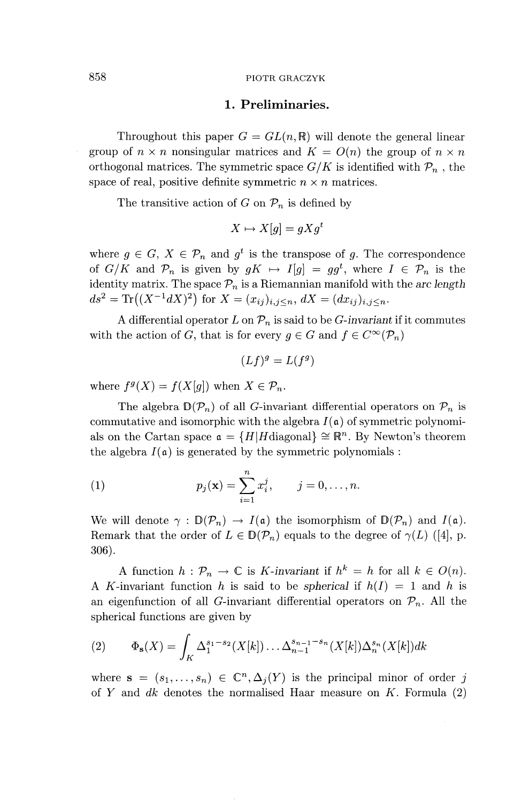### **1. Preliminaries.**

Throughout this paper  $G = GL(n, \mathbb{R})$  will denote the general linear group of  $n \times n$  nonsingular matrices and  $K = O(n)$  the group of  $n \times n$ orthogonal matrices. The symmetric space  $G/K$  is identified with  $\mathcal{P}_n$ , the space of real, positive definite symmetric  $n \times n$  matrices.

The transitive action of G on  $\mathcal{P}_n$  is defined by

$$
X \mapsto X[g] = gXg^t
$$

where  $q \in G$ ,  $X \in \mathcal{P}_n$  and  $q^t$  is the transpose of q. The correspondence of  $G/K$  and  $\mathcal{P}_n$  is given by  $gK \mapsto I[g] = gg^t$ , where  $I \in \mathcal{P}_n$  is the identity matrix. The space  $P_n$  is a Riemannian manifold with the *arc length ds*<sup>2</sup> = Tr $((X^{-1}dX)^2)$  for  $X = (x_{ij})_{i,j \le n}$ ,  $dX = (dx_{ij})_{i,j \le n}$ .

A differential operator  $L$  on  $\mathcal{P}_n$  is said to be *G*-invariant if it commutes with the action of *G*, that is for every  $g \in G$  and  $f \in C^{\infty}(\mathcal{P}_n)$ 

$$
(Lf)^g = L(f^g)
$$

where  $f^g(X) = f(X[g])$  when  $X \in \mathcal{P}_n$ .

The algebra  $\mathbb{D}(\mathcal{P}_n)$  of all G-invariant differential operators on  $\mathcal{P}_n$  is commutative and isomorphic with the algebra  $I(\mathfrak{a})$  of symmetric polynomials on the Cartan space  $\mathfrak{a} = \{H | H \text{diagonal} \} \cong \mathbb{R}^n$ . By Newton's theorem the algebra  $I(\mathfrak{a})$  is generated by the symmetric polynomials :

(1) 
$$
p_j(\mathbf{x}) = \sum_{i=1}^n x_i^j, \qquad j = 0, ..., n.
$$

We will denote  $\gamma : \mathbb{D}(\mathcal{P}_n) \to I(\mathfrak{a})$  the isomorphism of  $\mathbb{D}(\mathcal{P}_n)$  and  $I(\mathfrak{a})$ . Remark that the order of  $L \in \mathbb{D}(\mathcal{P}_n)$  equals to the degree of  $\gamma(L)$  ([4], p. 306).

A function  $h : \mathcal{P}_n \to \mathbb{C}$  is *K*-invariant if  $h^k = h$  for all  $k \in O(n)$ . A K-invariant function h is said to be spherical if  $h(I) = 1$  and h is an eigenfunction of all G-invariant differential operators on  $\mathcal{P}_n$ . All the spherical functions are given by

(2) 
$$
\Phi_{\mathbf{s}}(X) = \int_{K} \Delta_1^{s_1 - s_2}(X[k]) \dots \Delta_{n-1}^{s_{n-1} - s_n}(X[k]) \Delta_n^{s_n}(X[k]) dk
$$

where  $\mathbf{s} = (s_1,\ldots,s_n) \in \mathbb{C}^n$ ,  $\Delta_i(Y)$  is the principal minor of order *j* of *Y* and *dk* denotes the normalised Haar measure on *K.* Formula (2)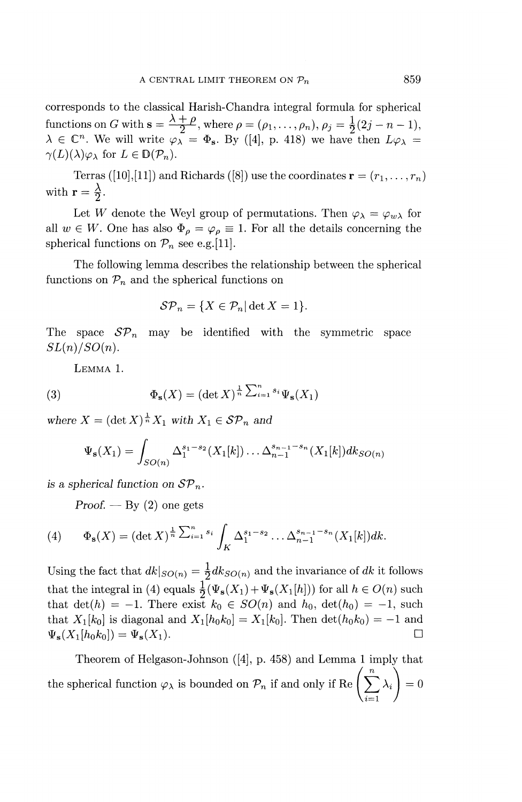corresponds to the classical Harish-Chandra integral formula for spherical functions on *G* with  $s = \frac{\lambda + \rho}{2}$ , where  $\rho = (\rho_1, ..., \rho_n)$ ,  $\rho_j = \frac{1}{2}(2j - n - 1)$ ,  $\lambda \in \mathbb{C}^n$ . We will write  $\varphi_{\lambda} = \Phi_{\mathbf{s}}$ . By ([4], p. 418) we have then  $L\varphi_{\lambda} =$  $\lambda \in C$ . We will write  $\varphi$ .<br> $\gamma(L)(\lambda)_{(2)}$ , for  $L \in \mathbb{D}(\mathcal{D}^{\perp})$ .

Terras ([10],[11]) and Richards ([8]) use the coordinates  $\mathbf{r} = (r_1, \ldots, r_n)$ with  $\mathbf{r} = \frac{\lambda}{2}$ .

Let *W* denote the Weyl group of permutations. Then  $\varphi_{\lambda} = \varphi_{w\lambda}$  for all  $w \in W$ . One has also  $\Phi_{\alpha} = \varphi_{\alpha} \equiv 1$ . For all the details concerning the all  $w \in W$ . One has also  $\Phi_{\rho} = \varphi_{\rho} \equiv 1$ . For all the details concerning the spherical functions on  $\mathcal{P}_n$  see e.g.[11].

The following lemma describes the relationship between the spherical functions on  $\mathcal{P}_n$  and the spherical functions on

$$
\mathcal{SP}_n = \{ X \in \mathcal{P}_n | \det X = 1 \}.
$$

The space  $\mathcal{SP}_n$  may be identified with the symmetric space  $SL(n)/SO(n)$ .

LEMMA 1.

(3) 
$$
\Phi_{\mathbf{s}}(X) = (\det X)^{\frac{1}{n} \sum_{i=1}^{n} s_i} \Psi_{\mathbf{s}}(X_1)
$$

where  $X = (\det X)^{\frac{1}{n}} X_1$  with  $X_1 \in \mathcal{SP}_n$  and

$$
\Psi_{\mathbf{s}}(X_1) = \int_{SO(n)} \Delta_1^{s_1 - s_2}(X_1[k]) \dots \Delta_{n-1}^{s_{n-1} - s_n}(X_1[k]) dk_{SO(n)}
$$

*is a spherical function on*  $\mathcal{SP}_n$ .

*Proof. —* By (2) one gets

(4) 
$$
\Phi_{\mathbf{s}}(X) = (\det X)^{\frac{1}{n} \sum_{i=1}^{n} s_i} \int_K \Delta_1^{s_1 - s_2} \dots \Delta_{n-1}^{s_{n-1} - s_n} (X_1[k]) dk.
$$

Using the fact that  $dk|_{SO(n)} = \frac{1}{2}dk_{SO(n)}$  and the invariance of dk it follows that the integral in (4) equals  $\frac{1}{2}(\Psi_{s}(X_1)+\Psi_{s}(X_1[h]))$  for all  $h \in O(n)$  such that  $\det(h) = -1$ . There exist  $k_0 \in SO(n)$  and  $h_0$ ,  $\det(h_0) = -1$ , such that  $\det(h) = -1$ . There exist  $\kappa_0 \in SO(n)$  and  $h_0$ ,  $\det(h_0) = -1$ , surfact that  $X_1[k_0]$  is diagonal and  $X_1[h_0k_0] = X_1[k_0]$ . Then  $\det(h_0k_0) = -1$  and that  $X_1[\kappa_0]$  is diagonal and  $X_1[\kappa_0\kappa_0] = X_1[\kappa_0]$ . Then  $\det(\kappa_0\kappa_0) = -1$  and  $\int_V (X_1[\kappa_0]) - \int_V (X_2[\kappa_0])$ 

Theorem of Helgason-Johnson ([4], p. 458) and Lemma 1 imply that the spherical function  $\varphi_{\lambda}$  is bounded on  $\mathcal{P}_n$  if and only if Re  $\left(\sum_{i=1}^n \lambda_i \right) = 0$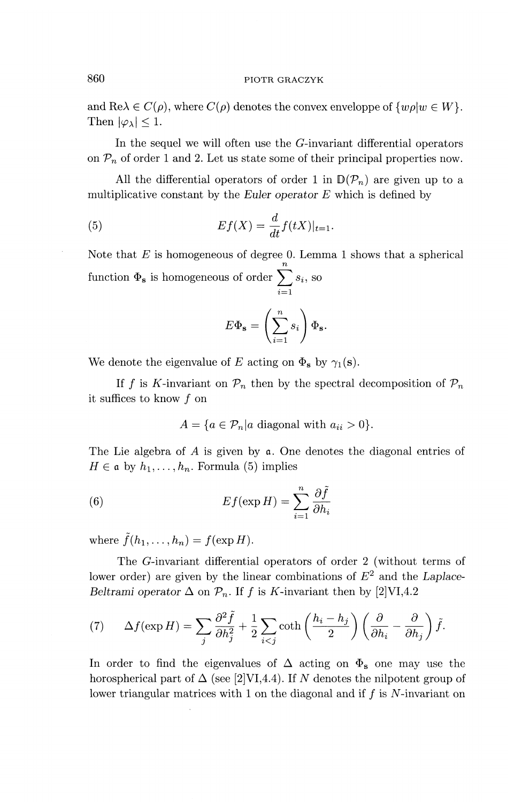and  $\text{Re}\lambda \in C(\rho)$ , where  $C(\rho)$  denotes the convex enveloppe of  $\{w\rho|w \in W\}$ . Then  $|\varphi_{\lambda}|$  < 1.

In the sequel we will often use the  $G$ -invariant differential operators on  $P_n$  of order 1 and 2. Let us state some of their principal properties now.

All the differential operators of order 1 in  $\mathbb{D}(\mathcal{P}_n)$  are given up to a multiplicative constant by the *Euler operator*  $E$  which is defined by

(5) 
$$
Ef(X) = \frac{d}{dt}f(tX)|_{t=1}.
$$

Note that *E* is homogeneous of degree 0. Lemma 1 shows that a spherical *n* function  $\Phi_{\mathbf{s}}$  is homogeneous of order  $\sum s_i$ , so  $\overline{i=1}$ 

$$
E\Phi_{\mathbf{s}}=\left(\sum_{i=1}^n s_i\right)\Phi_{\mathbf{s}}.
$$

We denote the eigenvalue of E acting on  $\Phi_{\mathbf{s}}$  by  $\gamma_1(\mathbf{s})$ .

If f is K-invariant on  $\mathcal{P}_n$  then by the spectral decomposition of  $\mathcal{P}_n$ it suffices to know  $f$  on

$$
A = \{a \in \mathcal{P}_n | a \text{ diagonal with } a_{ii} > 0\}.
$$

The Lie algebra of  $A$  is given by  $\mathfrak a$ . One denotes the diagonal entries of  $H \in \mathfrak{a}$  by  $h_1, \ldots, h_n$ . Formula (5) implies

(6) 
$$
Ef(\exp H) = \sum_{i=1}^{n} \frac{\partial \tilde{f}}{\partial h_i}
$$

where  $\tilde{f}(h_1,\ldots,h_n) = f(\exp H)$ .

The  $G$ -invariant differential operators of order 2 (without terms of lower order) are given by the linear combinations of  $E^2$  and the *Laplace* 

Beltrami operator Δ on 
$$
P_n
$$
. If  $f$  is  $K$ -invariant then by [2]VI, 4.2  
(7) 
$$
\Delta f(\exp H) = \sum_j \frac{\partial^2 \tilde{f}}{\partial h_j^2} + \frac{1}{2} \sum_{i < j} \coth\left(\frac{h_i - h_j}{2}\right) \left(\frac{\partial}{\partial h_i} - \frac{\partial}{\partial h_j}\right) \tilde{f}.
$$

In order to find the eigenvalues of  $\Delta$  acting on  $\Phi_s$  one may use the horospherical part of  $\Delta$  (see [2]VI,4.4). If N denotes the nilpotent group of lower triangular matrices with 1 on the diagonal and if  $f$  is  $N$ -invariant on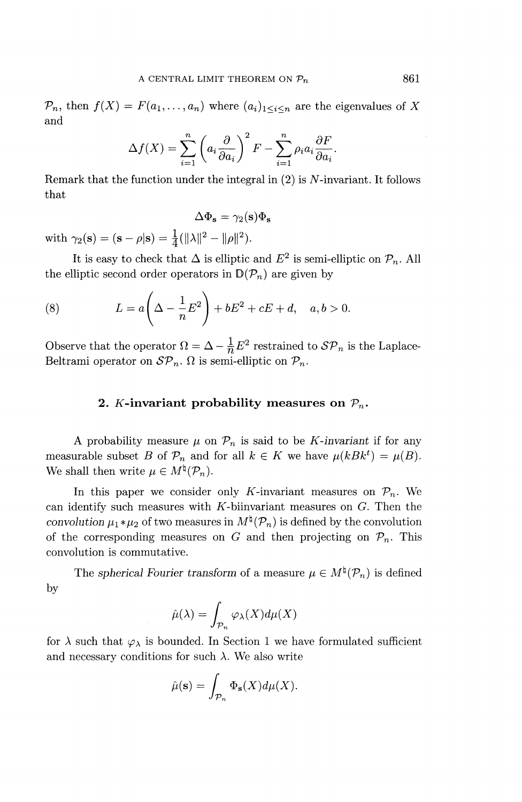$P_n$ , then  $f(X) = F(a_1, \ldots, a_n)$  where  $(a_i)_{1 \leq i \leq n}$  are the eigenvalues of X and

$$
\Delta f(X) = \sum_{i=1}^{n} \left( a_i \frac{\partial}{\partial a_i} \right)^2 F - \sum_{i=1}^{n} \rho_i a_i \frac{\partial F}{\partial a_i}.
$$

Remark that the function under the integral in  $(2)$  is N-invariant. It follows that

$$
\Delta \Phi_{\mathbf{s}} = \gamma_2(\mathbf{s}) \Phi_{\mathbf{s}}
$$

with  $\gamma_2(s) = (s - \rho|s) = \frac{1}{4}(||\lambda||^2 - ||\rho||^2)$ .

It is easy to check that  $\Delta$  is elliptic and  $E^2$  is semi-elliptic on  $\mathcal{P}_n$ . All the elliptic second order operators in  $\mathbb{D}(\mathcal{P}_n)$  are given by

(8) 
$$
L = a\left(\Delta - \frac{1}{n}E^2\right) + bE^2 + cE + d, \quad a, b > 0.
$$

Observe that the operator  $\Omega = \Delta - \frac{1}{n}E^2$  restrained to  $\mathcal{SP}_n$  is the Laplace-Beltrami operator on  $\mathcal{SP}_n$ .  $\Omega$  is semi-elliptic on  $\mathcal{P}_n$ .

# 2. *K*-invariant probability measures on  $P_n$ .

A probability measure  $\mu$  on  $\mathcal{P}_n$  is said to be *K*-invariant if for any measurable subset *B* of  $\mathcal{P}_n$  and for all  $k \in K$  we have  $\mu(kBk^t) = \mu(B)$ . We shall then write  $\mu \in M^{\natural}(\mathcal{P}_n)$ .

In this paper we consider only K-invariant measures on  $\mathcal{P}_n$ . We can identify such measures with  $K$ -biinvariant measures on  $G$ . Then the *convolution*  $\mu_1 * \mu_2$  of two measures in  $M^{\sharp}(\mathcal{P}_n)$  is defined by the convolution of the corresponding measures on G and then projecting on  $\mathcal{P}_n$ . This convolution is commutative.

The *spherical Fourier transform* of a measure  $\mu \in M^{\natural}(\mathcal{P}_n)$  is defined by

$$
\hat{\mu}(\lambda) = \int_{\mathcal{P}_n} \varphi_\lambda(X) d\mu(X)
$$

for  $\lambda$  such that  $\varphi_{\lambda}$  is bounded. In Section 1 we have formulated sufficient and necessary conditions for such  $\lambda$ . We also write

$$
\hat{\mu}(\mathbf{s}) = \int_{\mathcal{P}_n} \Phi_{\mathbf{s}}(X) d\mu(X).
$$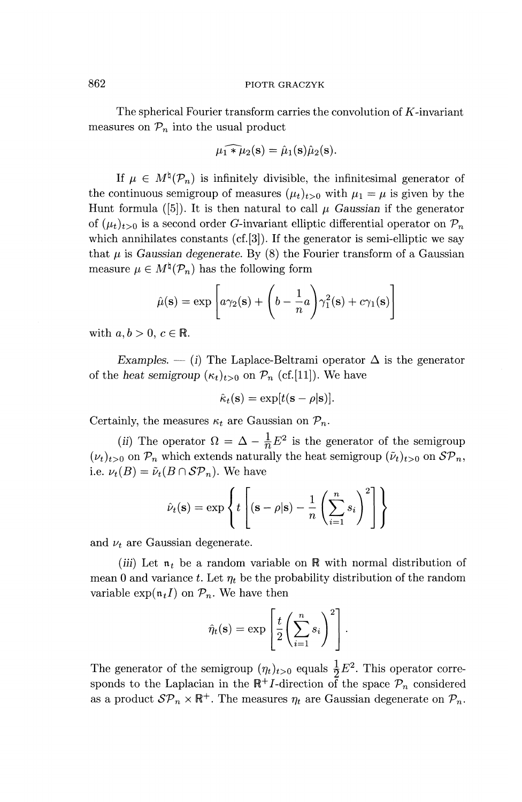The spherical Fourier transform carries the convolution of  $K$ -invariant measures on  $\mathcal{P}_n$  into the usual product

$$
\widehat{\mu_1 * \mu_2}(\mathbf{s}) = \widehat{\mu}_1(\mathbf{s})\widehat{\mu}_2(\mathbf{s}).
$$

If  $\mu \in M^{\natural}(\mathcal{P}_n)$  is infinitely divisible, the infinitesimal generator of the continuous semigroup of measures  $(\mu_t)_{t>0}$  with  $\mu_1 = \mu$  is given by the Hunt formula ([5]). It is then natural to call  $\mu$  Gaussian if the generator of  $(\mu_t)_{t>0}$  is a second order G-invariant elliptic differential operator on  $\mathcal{P}_n$ which annihilates constants (cf.[3]). If the generator is semi-elliptic we say that  $\mu$  is *Gaussian degenerate*. By (8) the Fourier transform of a Gaussian measure  $\mu \in M^{\natural}(\mathcal{P}_n)$  has the following form

$$
\hat{\mu}(\mathbf{s}) = \exp\left[a\gamma_2(\mathbf{s}) + \left(b - \frac{1}{n}a\right)\gamma_1^2(\mathbf{s}) + c\gamma_1(\mathbf{s})\right]
$$

with  $a, b > 0, c \in \mathbb{R}$ .

*Examples.* — (i) The Laplace-Beltrami operator  $\Delta$  is the generator of the *heat semigroup*  $(\kappa_t)_{t>0}$  on  $\mathcal{P}_n$  (cf.[11]). We have

$$
\hat{\kappa}_t(\mathbf{s}) = \exp[t(\mathbf{s} - \rho | \mathbf{s})].
$$

Certainly, the measures  $\kappa_t$  are Gaussian on  $\mathcal{P}_n$ .

(ii) The operator  $\Omega = \Delta - \frac{1}{n} E^2$  is the generator of the semigroup  $(\nu_t)_{t>0}$  on  $\mathcal{P}_n$  which extends naturally the heat semigroup  $(\tilde{\nu}_t)_{t>0}$  on  $\mathcal{SP}_n$ , i.e.  $\nu_t(B) = \tilde{\nu}_t(B \cap \mathcal{SP}_n)$ . We have

$$
\hat{\nu}_t(\mathbf{s}) = \exp\left\{t\left[\left(\mathbf{s} - \rho | \mathbf{s}\right) - \frac{1}{n} \left(\sum_{i=1}^n s_i\right)^2\right]\right\}
$$

and  $\nu_t$  are Gaussian degenerate.

*(iii)* Let  $\mathfrak{n}_t$  be a random variable on  $\mathbb R$  with normal distribution of mean 0 and variance *t*. Let  $\eta_t$  be the probability distribution of the random variable  $\exp(\mathfrak{n}_tI)$  on  $\mathcal{P}_n$ . We have then

$$
\hat{\eta}_t(\mathbf{s}) = \exp\left[\frac{t}{2}\left(\sum_{i=1}^n s_i\right)^2\right].
$$

The generator of the semigroup  $(\eta_t)_{t>0}$  equals  $\frac{1}{2}E^2$ . This operator corre sponds to the Laplacian in the  $\mathbb{R}^+I$ -direction of the space  $\mathcal{P}_n$  considered as a product  $\mathcal{SP}_n \times \mathbb{R}^+$ . The measures  $\eta_t$  are Gaussian degenerate on  $\mathcal{P}_n$ .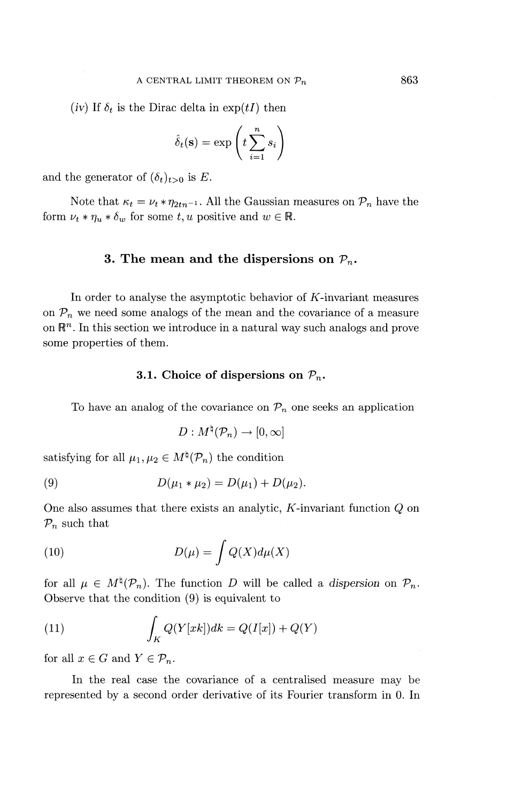*(iv)* If  $\delta_t$  is the Dirac delta in  $\exp(tI)$  then

$$
\hat{\delta}_t(\mathbf{s}) = \exp\left(t \sum_{i=1}^n s_i\right)
$$

and the generator of  $(\delta_t)_{t>0}$  is E.

Note that  $\kappa_t = \nu_t * \eta_{2tn^{-1}}$ . All the Gaussian measures on  $\mathcal{P}_n$  have the form  $\nu_t * \eta_u * \delta_w$  for some  $t, u$  positive and  $w \in \mathbb{R}$ .

#### **3.** The mean and the dispersions on  $P_n$ .

In order to analyse the asymptotic behavior of  $K$ -invariant measures on  $P_n$  we need some analogs of the mean and the covariance of a measure on  $\mathbb{R}^n$ . In this section we introduce in a natural way such analogs and prove some properties of them.

#### **3.1.** Choice of dispersions on  $\mathcal{P}_n$ .

To have an analog of the covariance on  $\mathcal{P}_n$  one seeks an application

$$
D: M^{\natural}(\mathcal{P}_n) \to [0, \infty]
$$

satisfying for all  $\mu_1, \mu_2 \in M^{\natural}(\mathcal{P}_n)$  the condition

(9) 
$$
D(\mu_1 * \mu_2) = D(\mu_1) + D(\mu_2).
$$

One also assumes that there exists an analytic,  $K$ -invariant function  $Q$  on *Pn* such that

(10) 
$$
D(\mu) = \int Q(X) d\mu(X)
$$

for all  $\mu \in M^{\natural}(P_n)$ . The function *D* will be called a dispersion on  $P_n$ . Observe that the condition (9) is equivalent to

(11) 
$$
\int_{K} Q(Y[xk])dk = Q(I[x]) + Q(Y)
$$

for all  $x \in G$  and  $Y \in \mathcal{P}_n$ .

In the real case the covariance of a centralised measure may be represented by a second order derivative of its Fourier transform in 0. In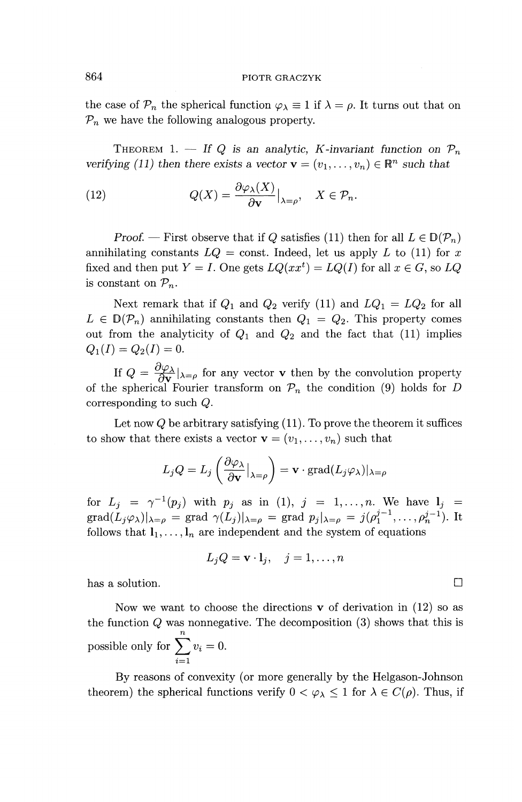the case of  $\mathcal{P}_n$  the spherical function  $\varphi_{\lambda} \equiv 1$  if  $\lambda = \rho$ . It turns out that on  $P_n$  we have the following analogous property.

THEOREM 1. — If Q is an analytic, K-invariant function on  $\mathcal{P}_n$ *verifying (11) then there exists a vector*  $\mathbf{v} = (v_1, \dots, v_n) \in \mathbb{R}^n$  such that

(12) 
$$
Q(X) = \frac{\partial \varphi_{\lambda}(X)}{\partial \mathbf{v}}|_{\lambda = \rho}, \quad X \in \mathcal{P}_n.
$$

*Proof.* — First observe that if Q satisfies (11) then for all  $L \in D(\mathcal{P}_n)$ annihilating constants  $LQ = \text{const.}$  Indeed, let us apply *L* to (11) for *x* fixed and then put  $Y = I$ . One gets  $LQ(xx^t) = LQ(I)$  for all  $x \in G$ , so  $LQ$ is constant on  $\mathcal{P}_n$ .

Next remark that if  $Q_1$  and  $Q_2$  verify (11) and  $LQ_1 = LQ_2$  for all  $L \in D(\mathcal{P}_n)$  annihilating constants then  $Q_1 = Q_2$ . This property comes out from the analyticity of  $Q_1$  and  $Q_2$  and the fact that (11) implies  $Q_1(I)=Q_2(I)=0.$ 

If  $Q = \frac{\partial \varphi_{\lambda}}{\partial x} |_{\lambda = \rho}$  for any vector **v** then by the convolution property of the spherical Fourier transform on  $\mathcal{P}_n$  the condition (9) holds for *D* corresponding to such *Q.*

Let now *Q* be arbitrary satisfying (11). To prove the theorem it suffices

to show that there exists a vector 
$$
\mathbf{v} = (v_1, \dots, v_n)
$$
 such that  
\n
$$
L_j Q = L_j \left( \frac{\partial \varphi_\lambda}{\partial \mathbf{v}} \big|_{\lambda = \rho} \right) = \mathbf{v} \cdot \text{grad}(L_j \varphi_\lambda)|_{\lambda = \rho}
$$

for  $L_j = \gamma^{-1}(p_j)$  with  $p_j$  as in (1),  $j = 1, ..., n$ . We have  $l_j =$  $\text{grad}(L_j\varphi_\lambda)|_{\lambda=\rho} = \text{grad }\gamma(L_j)|_{\lambda=\rho} = \text{grad } p_j\vert_{\lambda=\rho} = j(\rho_1^{j-1}, \ldots, \rho_n^{j-1}).$  It follows that  $l_1, \ldots, l_n$  are independent and the system of equations

$$
L_j Q = \mathbf{v} \cdot \mathbf{l}_j, \quad j = 1, \dots, n
$$

has a solution.

Now we want to choose the directions  $\bf{v}$  of derivation in (12) so as the function *Q* was nonnegative. The decomposition (3) shows that this is *n* possible only for  $\sum v_i = 0$ .  $\sum_{i=1}$ 

By reasons of convexity (or more generally by the Helgason-Johnson theorem) the spherical functions verify  $0 < \varphi_{\lambda} \leq 1$  for  $\lambda \in C(\rho)$ . Thus, if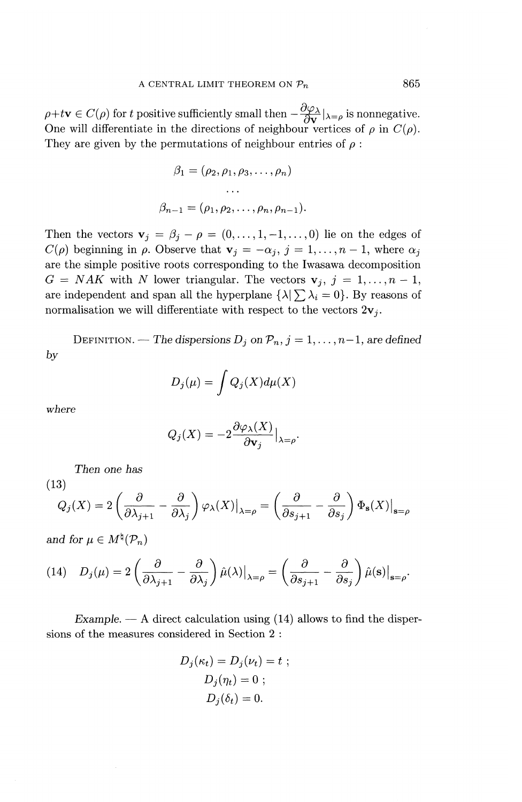$\rho + t\mathbf{v} \in C(\rho)$  for *t* positive sufficiently small then  $-\frac{\partial \varphi_{\lambda}}{\partial \mathbf{v}}|_{\lambda=\rho}$  is nonnegative. One will differentiate in the directions of neighbour vertices of  $\rho$  in  $C(\rho)$ . They are given by the permutations of neighbour entries of *p :*

$$
\beta_1 = (\rho_2, \rho_1, \rho_3, \dots, \rho_n)
$$

$$
\dots
$$

$$
\beta_{n-1} = (\rho_1, \rho_2, \dots, \rho_n, \rho_{n-1}).
$$

Then the vectors  $\mathbf{v}_j = \beta_j - \rho = (0,\ldots, 1, -1,\ldots, 0)$  lie on the edges of  $C(\rho)$  beginning in  $\rho$ . Observe that  $\mathbf{v}_j = -\alpha_j$ ,  $j=1,\ldots,n-1$ , where  $\alpha_j$ are the simple positive roots corresponding to the Iwasawa decomposition  $G = NAK$  with *N* lower triangular. The vectors  $\mathbf{v}_j, j = 1, \ldots, n - 1$ , Then the vectors  $\mathbf{v}_j = \beta_j - \rho = (0, \dots, 1, -1, \dots, 0)$  lie on the edges of  $C(\rho)$  beginning in  $\rho$ . Observe that  $\mathbf{v}_j = -\alpha_j$ ,  $j = 1, \dots, n - 1$ , where  $\alpha_j$  are the simple positive roots corresponding to the Iwasawa decomp are independent and span all the hyperplane  $\{\lambda | \sum_{i} \lambda_i = 0\}$ . By reasons of normalisation we will differentiate with respect to the vectors  $2v_j$ .

DEFINITION. — The dispersions  $D_j$  on  $\mathcal{P}_n$ ,  $j = 1, \ldots, n-1$ , are defined *by*

$$
D_j(\mu) = \int Q_j(X) d\mu(X)
$$

where

$$
Q_j(X) = -2\frac{\partial \varphi_\lambda(X)}{\partial \mathbf{v}_j}\big|_{\lambda=\rho}.
$$

*Then one has*

(13)

Then one has  
\n(3)  
\n
$$
Q_j(X) = 2\left(\frac{\partial}{\partial \lambda_{j+1}} - \frac{\partial}{\partial \lambda_j}\right) \varphi_\lambda(X)|_{\lambda=\rho} = \left(\frac{\partial}{\partial s_{j+1}} - \frac{\partial}{\partial s_j}\right) \Phi_{\mathbf{s}}(X)|_{\mathbf{s}=\rho}
$$

*and for*  $\mu \in M^{\natural}(\mathcal{P}_n)$ 

and for 
$$
\mu \in M^*(P_n)
$$
  
\n(14)  $D_j(\mu) = 2\left(\frac{\partial}{\partial \lambda_{j+1}} - \frac{\partial}{\partial \lambda_j}\right) \hat{\mu}(\lambda)|_{\lambda=\rho} = \left(\frac{\partial}{\partial s_{j+1}} - \frac{\partial}{\partial s_j}\right) \hat{\mu}(s)|_{s=\rho}.$ 

*Example. —* A direct calculation using (14) allows to find the dispersions of the measures considered in Section 2 :

$$
D_j(\kappa_t) = D_j(\nu_t) = t ;
$$
  
\n
$$
D_j(\eta_t) = 0 ;
$$
  
\n
$$
D_j(\delta_t) = 0.
$$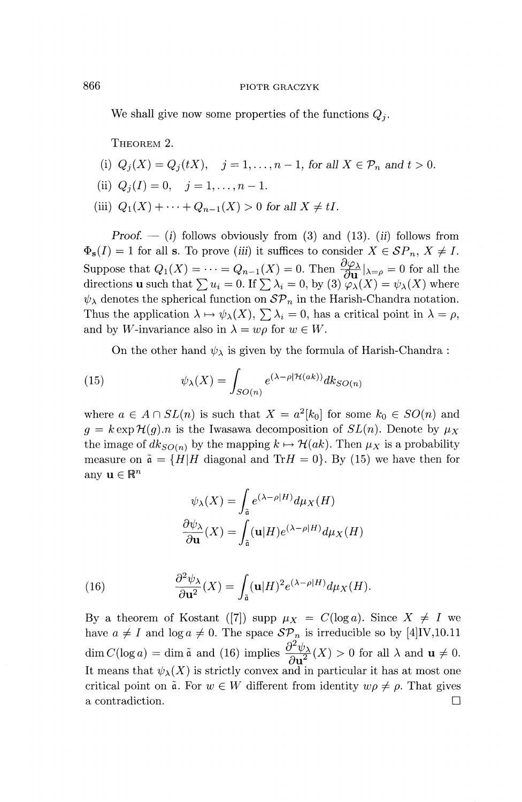We shall give now some properties of the functions *Qj*.

THEOREM 2.

- (i)  $Q_i(X) = Q_i(tX), \quad j = 1, \ldots, n-1, \text{ for all } X \in \mathcal{P}_n \text{ and } t > 0.$
- (ii)  $Q_i(I) = 0, \quad j = 1, \ldots, n-1.$
- (iii)  $Q_1(X) + \cdots + Q_{n-1}(X) > 0$  for all  $X \neq tI$ .

*Proof.* — (i) follows obviously from (3) and (13). (ii) follows from  $\Phi_{\mathbf{s}}(I) = 1$  for all **s**. To prove (iii) it suffices to consider  $X \in \mathcal{SP}_n$ ,  $X \neq I$ . Suppose that  $Q_1(X) = \cdots = Q_{n-1}(X) = 0$ . Then  $\frac{\partial \varphi_{\lambda}}{\partial \mathbf{u}}|_{\lambda = \rho} = 0$  for all the directions u such that  $\sum u_i = 0$ . If  $\sum \lambda_i = 0$ , by (3)  $\varphi_{\lambda}(X) = \psi_{\lambda}(X)$  where  $\psi_{\lambda}$  denotes the spherical function on  $\mathcal{SP}_n$  in the Harish-Chandra notation. Thus the application  $\lambda \mapsto \psi_{\lambda}(X), \sum \lambda_i = 0$ , has a critical point in  $\lambda = \rho$ , and by W-invariance also in  $\lambda = w\rho$  for  $w \in W$ .

On the other hand  $\psi_{\lambda}$  is given by the formula of Harish-Chandra :

(15) 
$$
\psi_{\lambda}(X) = \int_{SO(n)} e^{(\lambda - \rho | \mathcal{H}(ak))} dk_{SO(n)}
$$

where  $a \in A \cap SL(n)$  is such that  $X = a^2[k_0]$  for some  $k_0 \in SO(n)$  and  $g = k \exp{\mathcal{H}(g)} \cdot n$  is the Iwasawa decomposition of  $SL(n)$ . Denote by  $\mu_X$ the image of  $dk_{SO(n)}$  by the mapping  $k \mapsto \mathcal{H}(ak)$ . Then  $\mu_X$  is a probability measure on  $\tilde{\mathfrak{a}} = \{H|H$  diagonal and  $TrH = 0\}$ . By (15) we have then for any  $\mathbf{u} \in \mathbb{R}^n$ 

$$
\psi_{\lambda}(X) = \int_{\tilde{\mathfrak{a}}} e^{(\lambda - \rho|H)} d\mu_X(H)
$$

$$
\frac{\partial \psi_{\lambda}}{\partial \mathbf{u}}(X) = \int_{\tilde{\mathfrak{a}}} (\mathbf{u}|H) e^{(\lambda - \rho|H)} d\mu_X(H)
$$

(16) 
$$
\frac{\partial^2 \psi_{\lambda}}{\partial \mathbf{u}^2}(X) = \int_{\tilde{\mathbf{a}}} (\mathbf{u}|H)^2 e^{(\lambda - \rho|H)} d\mu_X(H).
$$

By a theorem of Kostant ([7]) supp  $\mu_X = C(\log a)$ . Since  $X \neq I$  we have  $a \neq I$  and log  $a \neq 0$ . The space  $\mathcal{SP}_n$  is irreducible so by [4]IV,10.11 dim  $C(\log a) = \dim \tilde{a}$  and (16) implies  $\frac{\partial^2 \psi_\lambda}{\partial \mathbf{u}^2}(X) > 0$  for all  $\lambda$  and  $\mathbf{u} \neq 0$ . It means that  $\psi_{\lambda}(X)$  is strictly convex and in particular it has at most one critical point on  $\tilde{a}$ . For  $w \in W$  different from identity  $w \rho \neq \rho$ . That gives a contradiction. Q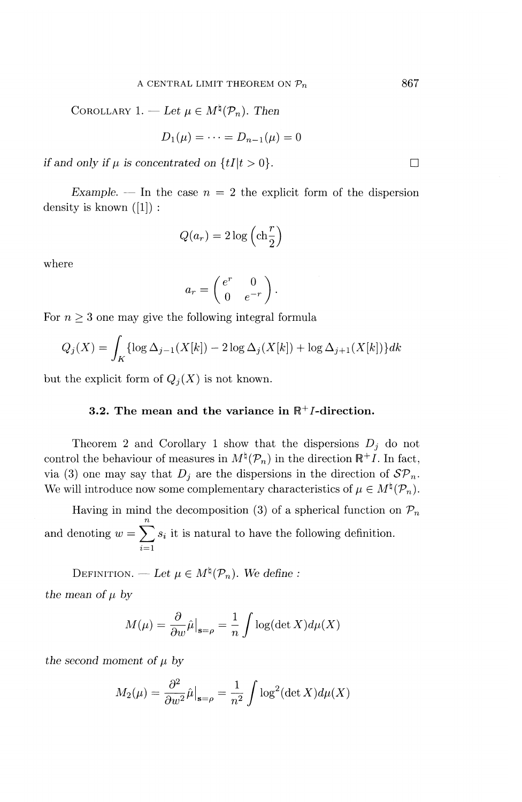COROLLARY 1. — Let  $\mu \in M^{\natural}(\mathcal{P}_n)$ . Then

$$
D_1(\mu) = \cdots = D_{n-1}(\mu) = 0
$$

*if and only if*  $\mu$  *is concentrated on*  $\{tI | t > 0\}$ *.* 

*Example.* — In the case  $n = 2$  the explicit form of the dispersion density is known  $([1])$ :

$$
Q(a_r) = 2\log\left(\text{ch}\frac{r}{2}\right)
$$

where

$$
a_r = \begin{pmatrix} e^r & 0 \\ 0 & e^{-r} \end{pmatrix}.
$$

For  $n \geq 3$  one may give the following integral formula

$$
Q_j(X) = \int_K \{ \log \Delta_{j-1}(X[k]) - 2 \log \Delta_j(X[k]) + \log \Delta_{j+1}(X[k]) \} dk
$$

but the explicit form of  $Q_i(X)$  is not known.

# **3.2.** The mean and the variance in  $\mathbb{R}^+$ *I*-direction.

Theorem 2 and Corollary 1 show that the dispersions  $D_i$  do not control the behaviour of measures in  $M^{\natural}(\mathcal{P}_n)$  in the direction  $\mathbb{R}^+I$ . In fact, via (3) one may say that  $D_i$  are the dispersions in the direction of  $\mathcal{SP}_n$ . We will introduce now some complementary characteristics of  $\mu \in M^{\natural}(\mathcal{P}_n)$ .

Having in mind the decomposition (3) of a spherical function on  $P_n$ and denoting  $w = \sum s_i$  it is natural to have the following definition.  $\overline{i=1}$ 

DEFINITION. — Let  $\mu \in M^{\natural}(\mathcal{P}_n)$ . We define : *the mean of*  $\mu$  *by* 

$$
M(\mu) = \frac{\partial}{\partial w} \hat{\mu}\big|_{\mathbf{s}=\rho} = \frac{1}{n} \int \log(\det X) d\mu(X)
$$

*the second moment of*  $\mu$  *by* 

$$
M_2(\mu) = \frac{\partial^2}{\partial w^2} \hat{\mu}\big|_{\mathbf{s}=\rho} = \frac{1}{n^2} \int \log^2(\det X) d\mu(X)
$$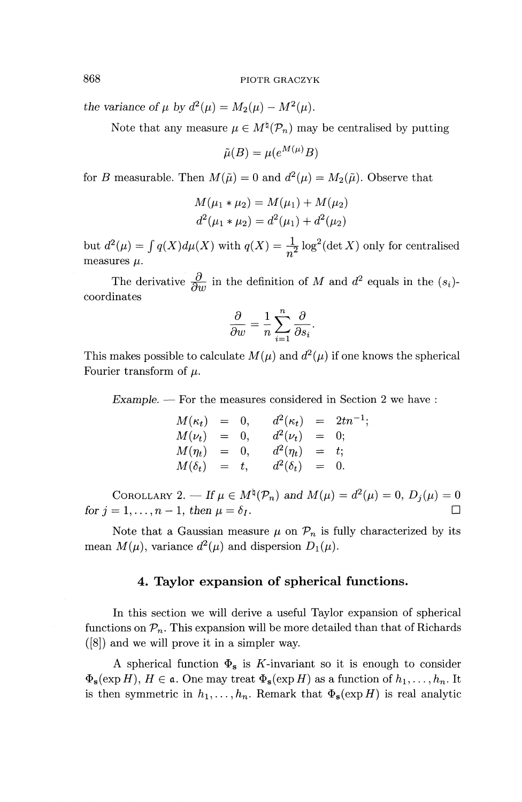*the variance of*  $\mu$  *by*  $d^2(\mu) = M_2(\mu) - M^2(\mu)$ *.* 

Note that any measure  $\mu \in M^{\natural}(\mathcal{P}_n)$  may be centralised by putting

$$
\tilde{\mu}(B) = \mu(e^{M(\mu)}B)
$$

for *B* measurable. Then  $M(\tilde{\mu}) = 0$  and  $d^2(\mu) = M_2(\tilde{\mu})$ . Observe that

$$
M(\mu_1 * \mu_2) = M(\mu_1) + M(\mu_2)
$$
  

$$
d^2(\mu_1 * \mu_2) = d^2(\mu_1) + d^2(\mu_2)
$$

but  $d^2(\mu) = \int q(X)d\mu(X)$  with  $q(X) = \frac{1}{n^2}$  $\frac{1}{2} \log^2(\det X)$  only for centralised measures  $\mu$ .

The derivative  $\frac{\partial}{\partial w}$  in the definition of M and  $d^2$  equals in the  $(s_i)$ coordinates

$$
\frac{\partial}{\partial w} = \frac{1}{n} \sum_{i=1}^{n} \frac{\partial}{\partial s_i}.
$$

This makes possible to calculate  $M(\mu)$  and  $d^2(\mu)$  if one knows the spherical Fourier transform of  $\mu$ .

*Example. —* For the measures considered in Section 2 we have :

$$
M(\kappa_t) = 0, \t d^2(\kappa_t) = 2tn^{-1};
$$
  
\n
$$
M(\nu_t) = 0, \t d^2(\nu_t) = 0;
$$
  
\n
$$
M(\eta_t) = 0, \t d^2(\eta_t) = t;
$$
  
\n
$$
M(\delta_t) = t, \t d^2(\delta_t) = 0.
$$

COROLLARY 2. — If  $\mu \in M^{\natural}(\mathcal{P}_n)$  and  $M(\mu) = d^2(\mu) = 0, D_j(\mu) = 0$ *for*  $j = 1, \ldots, n - 1$ , then  $\mu = \delta_I$ .

Note that a Gaussian measure  $\mu$  on  $\mathcal{P}_n$  is fully characterized by its mean  $M(\mu)$ , variance  $d^2(\mu)$  and dispersion  $D_1(\mu)$ .

# **4. Taylor expansion of spherical functions.**

In this section we will derive a useful Taylor expansion of spherical functions on  $\mathcal{P}_n$ . This expansion will be more detailed than that of Richards ([8]) and we will prove it in a simpler way.

A spherical function  $\Phi_{\mathbf{s}}$  is K-invariant so it is enough to consider  $\Phi_{\mathbf{s}} (\exp H), H \in \mathfrak{a}$ . One may treat  $\Phi_{\mathbf{s}} (\exp H)$  as a function of  $h_1,\ldots,h_n$ . It is then symmetric in  $h_1, \ldots, h_n$ . Remark that  $\Phi_{\mathbf{s}}(\exp H)$  is real analytic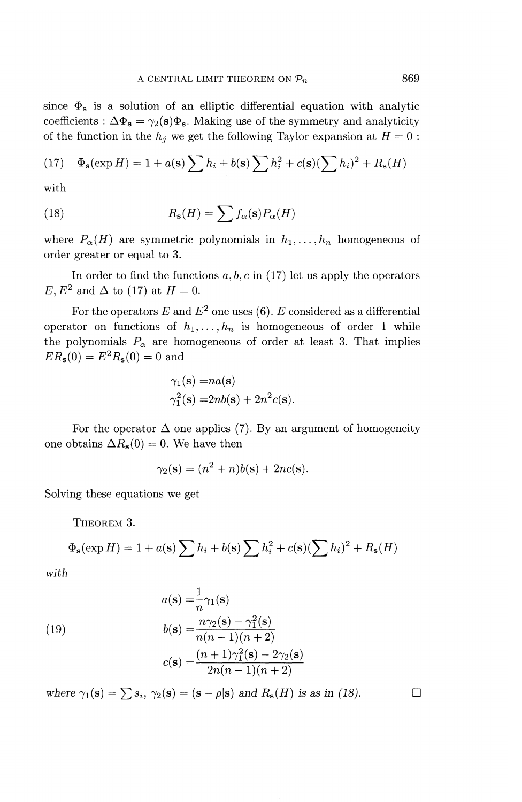since  $\Phi_{s}$  is a solution of an elliptic differential equation with analytic coefficients :  $\Delta \Phi_s = \gamma_2(s)\Phi_s$ . Making use of the symmetry and analyticity

of the function in the 
$$
h_j
$$
 we get the following Taylor expansion at  $H = 0$ :  
(17)  $\Phi_{\mathbf{s}}(\exp H) = 1 + a(\mathbf{s}) \sum h_i + b(\mathbf{s}) \sum h_i^2 + c(\mathbf{s}) (\sum h_i)^2 + R_{\mathbf{s}}(H)$ 

with

(18) 
$$
R_{\mathbf{s}}(H) = \sum f_{\alpha}(\mathbf{s}) P_{\alpha}(H)
$$

where  $P_{\alpha}(H)$  are symmetric polynomials in  $h_1,\ldots,h_n$  homogeneous of order greater or equal to 3.

In order to find the functions  $a, b, c$  in (17) let us apply the operators *E, E*<sup>2</sup> and  $\Delta$  to (17) at  $H = 0$ .

For the operators  $E$  and  $E^2$  one uses (6).  $E$  considered as a differential operator on functions of  $h_1, \ldots, h_n$  is homogeneous of order 1 while the polynomials  $P_{\alpha}$  are homogeneous of order at least 3. That implies  $ER_s(0) = E^2 R_s(0) = 0$  and

$$
\gamma_1(\mathbf{s}) = na(\mathbf{s})
$$
  

$$
\gamma_1^2(\mathbf{s}) = 2nb(\mathbf{s}) + 2n^2c(\mathbf{s})
$$

For the operator  $\Delta$  one applies (7). By an argument of homogeneity one obtains  $\Delta R_{s}(0) = 0$ . We have then

$$
\gamma_2(\mathbf{s}) = (n^2 + n)b(\mathbf{s}) + 2nc(\mathbf{s}).
$$

Solving these equations we get

THEOREM 3.

THEOREM 3.  
\n
$$
\Phi_{\mathbf{s}}(\exp H) = 1 + a(\mathbf{s}) \sum h_i + b(\mathbf{s}) \sum h_i^2 + c(\mathbf{s}) (\sum h_i)^2 + R_{\mathbf{s}}(H)
$$

*with*

(19)  

$$
a(\mathbf{s}) = \frac{1}{n}\gamma_1(\mathbf{s})
$$

$$
b(\mathbf{s}) = \frac{n\gamma_2(\mathbf{s}) - \gamma_1^2(\mathbf{s})}{n(n-1)(n+2)}
$$

$$
c(\mathbf{s}) = \frac{(n+1)\gamma_1^2(\mathbf{s}) - 2\gamma_2(\mathbf{s})}{2n(n-1)(n+2)}
$$

where  $\gamma_1(\mathbf{s}) = \sum s_i$ ,  $\gamma_2(\mathbf{s}) = (\mathbf{s} - \rho|\mathbf{s})$  and  $R_{\mathbf{s}}(H)$  is as in (18).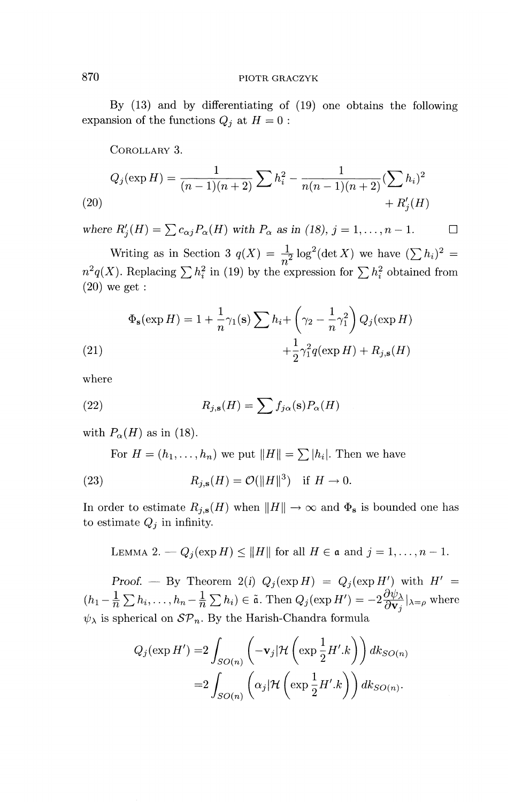By (13) and by differentiating of (19) one obtains the following expansion of the functions  $Q_i$  at  $H = 0$ :

COROLLARY 3.

(20)  
\n
$$
Q_j(\exp H) = \frac{1}{(n-1)(n+2)} \sum h_i^2 - \frac{1}{n(n-1)(n+2)} (\sum h_i)^2 + R'_j(H)
$$

where  $R'_i(H) = \sum c_{\alpha j} P_\alpha(H)$  with  $P_\alpha$  as in (18),  $j = 1, \ldots, n - 1$ .  $\Box$ 

Writing as in Section 3  $q(X) = \frac{1}{Z} \log^2(\det X)$  we have  $(\sum h_i)^2 =$ withing as in section 3  $q(x) = \frac{1}{n^2} \log (\det X)$  we have  $(\sum n_i)$  =  $n^2 q(X)$ . Replacing  $\sum h_i^2$  in (19) by the expression for  $\sum h_i^2$  obtained from  $(20)$  we get :

(20) we get :  
\n
$$
\Phi_{\mathbf{s}}(\exp H) = 1 + \frac{1}{n}\gamma_1(\mathbf{s}) \sum h_i + \left(\gamma_2 - \frac{1}{n}\gamma_1^2\right) Q_j(\exp H)
$$
\n
$$
+ \frac{1}{2}\gamma_1^2 q(\exp H) + R_{j,\mathbf{s}}(H)
$$

where

(22) 
$$
R_{j,\mathbf{s}}(H) = \sum f_{j\alpha}(\mathbf{s}) P_{\alpha}(H)
$$

with  $P_{\alpha}(H)$  as in (18).

For  $H = (h_1, \ldots, h_n)$  we put  $\|H\| = \sum |h_i|$ . Then we have

(23) 
$$
R_{j,\mathbf{s}}(H) = \mathcal{O}(\Vert H \Vert^{3}) \quad \text{if } H \to 0.
$$

In order to estimate  $R_{j,s}(H)$  when  $\|H\|\to\infty$  and  $\Phi_s$  is bounded one has to estimate  $Q_j$  in infinity.

LEMMA 2.  $-Q_j(\exp H) \le ||H||$  for all  $H \in \mathfrak{a}$  and  $j = 1, ..., n - 1$ .

Proof. — By Theorem 2(i)  $Q_j(\exp H) = Q_j(\exp H')$  with  $H' =$  $(h_1-\frac{1}{n}\sum h_i,\ldots,h_n-\frac{1}{n}\sum h_i) \in \tilde{\mathfrak{a}}.$  Then  $Q_j(\exp H') = -2\frac{\partial \psi_\lambda}{\partial \mathbf{v}_i}|_{\lambda=\rho}$  where  $\psi_{\lambda}$  is spherical on  $\mathcal{SP}_n$ . By the Harish-Chandra formula

$$
Q_j(\exp H') = 2 \int_{SO(n)} \left( -\mathbf{v}_j |\mathcal{H}\left(\exp\frac{1}{2}H'.k\right) \right) dk_{SO(n)}
$$

$$
= 2 \int_{SO(n)} \left( \alpha_j |\mathcal{H}\left(\exp\frac{1}{2}H'.k\right) \right) dk_{SO(n)}.
$$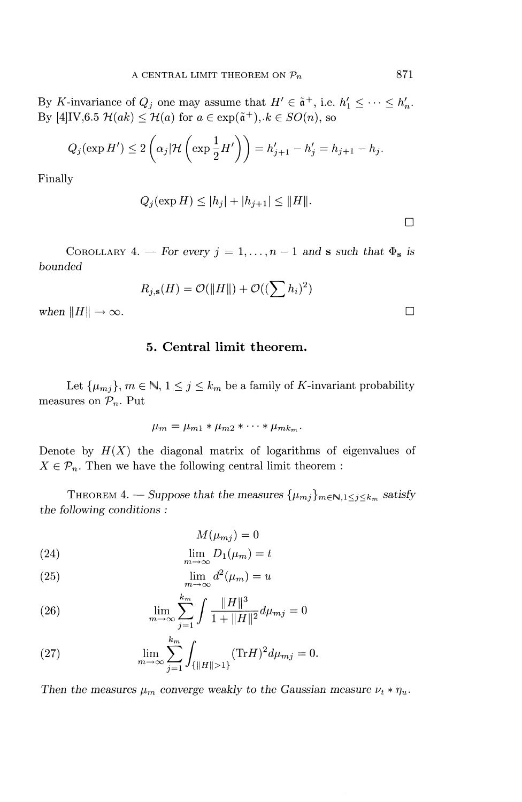By K-invariance of  $Q_j$  one may assume that  $H' \in \tilde{\mathfrak{a}}^+$ , i.e.  $h'_1 \leq \cdots \leq h'_n$ . By  $[4] \text{IV}, 6.5 \mathcal{H}(ak) \leq \mathcal{H}(a)$  for  $a \in \exp(\tilde{a}^+), k \in SO(n)$ , so

$$
Q_j(\exp H') \le 2\left(\alpha_j|\mathcal{H}\left(\exp\frac{1}{2}H'\right)\right) = h'_{j+1} - h'_{j} = h_{j+1} - h_j.
$$

Finally

$$
Q_j(\exp H) \le |h_j| + |h_{j+1}| \le ||H||.
$$

 $\Box$ 

COROLLARY 4. — For every  $j = 1, ..., n - 1$  and **s** such that  $\Phi_{\mathbf{s}}$  is bounded

$$
R_{j,\mathbf{s}}(H) = \mathcal{O}(\Vert H \Vert) + \mathcal{O}((\sum h_i)^2)
$$

when  $||H|| \to \infty$ .

# **5. Central limit theorem.**

Let  $\{\mu_{m_j}\}, m \in \mathbb{N}, 1 \leq j \leq k_m$  be a family of K-invariant probability measures on *Pn-* Put

$$
\mu_m = \mu_{m1} * \mu_{m2} * \cdots * \mu_{mk_m}.
$$

Denote by  $H(X)$  the diagonal matrix of logarithms of eigenvalues of  $X \in \mathcal{P}_n$ . Then we have the following central limit theorem :

THEOREM 4. — Suppose that the measures  $\{\mu_{mj}\}_{m\in\mathbb{N},1\leq j\leq k_m}$  satisfy *the following conditions :*

(24) 
$$
M(\mu_{mj}) = 0
$$

$$
\lim D_1(\mu_m) = t
$$

$$
\lim_{m \to \infty} D_1(\mu_m) = i
$$

(25) 
$$
\lim_{m \to \infty} d^2(\mu_m) = u
$$

(26) 
$$
\lim_{m \to \infty} \sum_{j=1}^{k_m} \int \frac{\|H\|^3}{1 + \|H\|^2} d\mu_{mj} = 0
$$

(27) 
$$
\lim_{m \to \infty} \sum_{j=1}^{k_m} \int_{\{\|H\| > 1\}} (\text{Tr} H)^2 d\mu_{mj} = 0.
$$

*Then the measures*  $\mu_m$  *converge weakly to the Gaussian measure*  $\nu_t * \eta_u$ *.*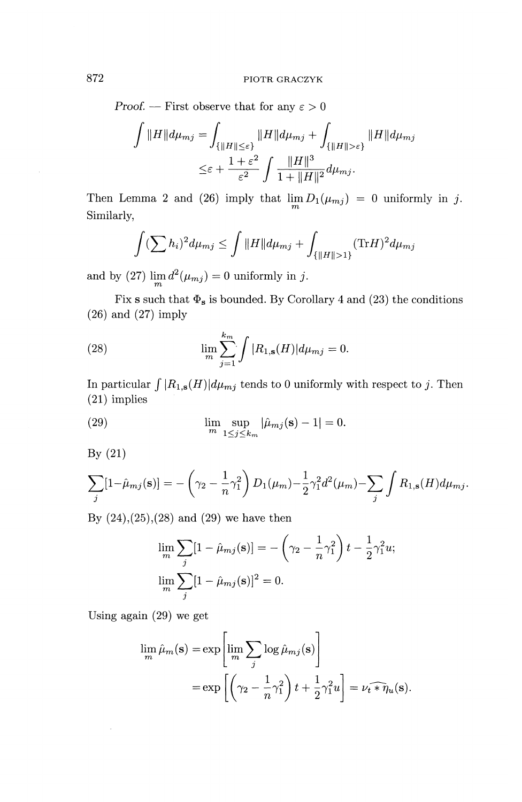Proof. — First observe that for any  $\varepsilon > 0$ 

$$
\int ||H||d\mu_{mj} = \int_{\{||H|| \leq \varepsilon\}} ||H||d\mu_{mj} + \int_{\{||H|| > \varepsilon\}} ||H||d\mu_{mj}
$$

$$
\leq \varepsilon + \frac{1+\varepsilon^2}{\varepsilon^2} \int \frac{||H||^3}{1+||H||^2} d\mu_{mj}.
$$

Then Lemma 2 and (26) imply that  $\lim_{m} D_1(\mu_{mj}) = 0$  uniformly in j. Similarly,

$$
\int (\sum h_i)^2 d\mu_{mj} \le \int ||H|| d\mu_{mj} + \int_{\{||H||>1\}} (\text{Tr} H)^2 d\mu_{mj}
$$

and by (27)  $\lim_{d \to 0} d^2(\mu_{mi}) = 0$  uniformly in j.

Fix s such that  $\Phi_s$  is bounded. By Corollary 4 and (23) the conditions (26) and (27) imply  $k_m$   $\sim$ 

(28) 
$$
\lim_{m} \sum_{j=1}^{k_m} \int |R_{1,s}(H)| d\mu_{mj} = 0.
$$

In particular  $\int |R_{1,s}(H)|d\mu_{mj}$  tends to 0 uniformly with respect to j. Then (21) implies

(29) 
$$
\lim_{m} \sup_{1 \le j \le k_m} |\hat{\mu}_{mj}(\mathbf{s}) - 1| = 0.
$$

By (21)

$$
\sum_{j} [1 - \hat{\mu}_{mj}(\mathbf{s})] = -\left(\gamma_2 - \frac{1}{n}\gamma_1^2\right) D_1(\mu_m) - \frac{1}{2}\gamma_1^2 d^2(\mu_m) - \sum_{j} \int R_{1,\mathbf{s}}(H) d\mu_{mj}.
$$

By  $(24),(25),(28)$  and  $(29)$  we have then

$$
\lim_{m} \sum_{j} [1 - \hat{\mu}_{mj}(\mathbf{s})] = -(\gamma_2 - \frac{1}{n}\gamma_1^2) t - \frac{1}{2}\gamma_1^2 u;
$$
  

$$
\lim_{m} \sum_{j} [1 - \hat{\mu}_{mj}(\mathbf{s})]^2 = 0.
$$

Using again (29) we get

$$
\lim_{m} \hat{\mu}_{m}(\mathbf{s}) = \exp\left[\lim_{m} \sum_{j} \log \hat{\mu}_{mj}(\mathbf{s})\right]
$$

$$
= \exp\left[\left(\gamma_{2} - \frac{1}{n}\gamma_{1}^{2}\right)t + \frac{1}{2}\gamma_{1}^{2}u\right] = \nu_{t} \widehat{\ast} \eta_{u}(\mathbf{s}).
$$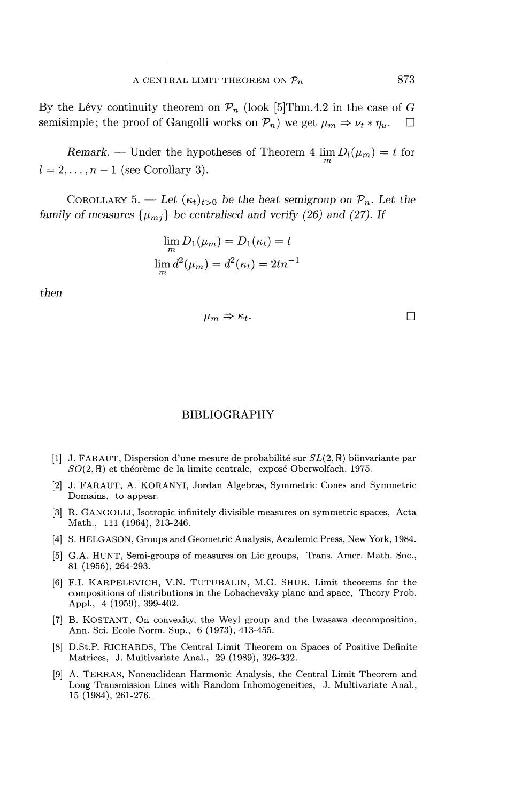By the Lévy continuity theorem on  $\mathcal{P}_n$  (look [5] Thm.4.2 in the case of *G* semisimple; the proof of Gangolli works on  $\mathcal{P}_n$ ) we get  $\mu_m \Rightarrow \nu_t * \eta_u$ .  $\Box$ 

*Remark.* — Under the hypotheses of Theorem 4  $\lim_{m} D_l(\mu_m) = t$  for  $l = 2, \ldots, n - 1$  (see Corollary 3).

COROLLARY 5. — Let  $(\kappa_t)_{t>0}$  be the heat semigroup on  $\mathcal{P}_n$ . Let the *family of measures*  $\{\mu_{mi}\}$  be centralised and verify (26) and (27). If

$$
\lim_{m} D_1(\mu_m) = D_1(\kappa_t) = t
$$
  

$$
\lim_{m} d^2(\mu_m) = d^2(\kappa_t) = 2tn^{-1}
$$

*then*

$$
\mu_m \Rightarrow \kappa_t. \qquad \qquad \Box
$$

#### BIBLIOGRAPHY

- [1] J. FARAUT, Dispersion d'une mesure de probabilité sur  $SL(2,\mathbb{R})$  biinvariante par  $SO(2,\mathbb{R})$  et théorème de la limite centrale, exposé Oberwolfach, 1975.
- [2] J. FARAUT, A. KORANYI, Jordan Algebras, Symmetric Cones and Symmetric Domains, to appear.
- [3] R. GANGOLLI, Isotropic infinitely divisible measures on symmetric spaces, Acta Math., Ill (1964), 213-246.
- [4] S. HELGASON, Groups and Geometric Analysis, Academic Press, New York, 1984.
- [5] G.A. HUNT, Semi-groups of measures on Lie groups, Trans. Amer. Math. Soc., 81 (1956), 264-293.
- [6] F.I. KARPELEVICH, V.N. TUTUBALIN, M.G. SHUR, Limit theorems for the compositions of distributions in the Lobachevsky plane and space, Theory Prob. Appl., 4 (1959), 399-402.
- [7] B. KOSTANT, On convexity, the Weyl group and the Iwasawa decomposition, Ann. Sci. Ecole Norm. Sup., 6 (1973), 413-455.
- [8] D.St.P. RICHARDS, The Central Limit Theorem on Spaces of Positive Definite Matrices, J. Multivariate Anal., 29 (1989), 326-332.
- [9] A. TERRAS, Noneuclidean Harmonic Analysis, the Central Limit Theorem and Long Transmission Lines with Random Inhomogeneities, J. Multivariate Anal., 15 (1984), 261-276.